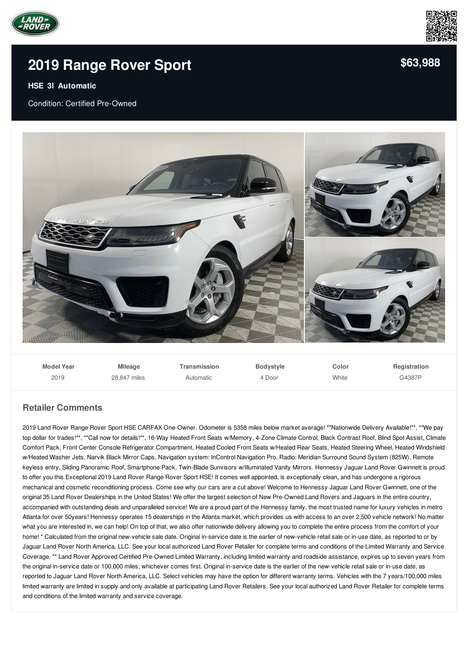



## **2019 [Range](/used-certified/pdf/) Rover Sport**

## **HSE 3l Automatic**

Condition: Certified Pre-Owned



| <b>Model Year</b> | <b>Mileage</b> | Transmission | <b>Bodystyle</b> | Color | Registration |
|-------------------|----------------|--------------|------------------|-------|--------------|
| 2019              | 28.847 miles   | Automatic    | 4 Door           | White | G4387P       |

## **Retailer Comments**

2019 Land Rover Range Rover Sport HSE CARFAX One-Owner. Odometer is 5358 miles below market average! \*\*Nationwide Delivery Available!\*\*, \*\*We pay top dollar for trades!\*\*, \*\*Call now for details!\*\*, 16-Way Heated Front Seats w/Memory, 4-Zone Climate Control, Black Contrast Roof, Blind Spot Assist, Climate Comfort Pack, Front Center Console Refrigerator Compartment, Heated Cooled Front Seats w/Heated Rear Seats, Heated Steering Wheel, Heated Windshield w/Heated Washer Jets, Narvik Black Mirror Caps, Navigation system: InControl Navigation Pro, Radio: Meridian Surround Sound System (825W), Remote keyless entry, Sliding Panoramic Roof, Smartphone Pack, Twin-Blade Sunvisors w/Illuminated Vanity Mirrors. Hennessy Jaguar Land Rover Gwinnett is proud to offer you this Exceptional 2019 Land Rover Range Rover Sport HSE! It comes well appointed, is exceptionally clean, and has undergone a rigorous mechanical and cosmetic reconditioning process. Come see why our cars are a cut above! Welcome to Hennessy Jaguar Land Rover Gwinnett, one of the original 35 Land Rover Dealerships in the United States! We offer the largest selection of New Pre-Owned Land Rovers and Jaguars in the entire country, accompanied with outstanding deals and unparalleled service! We are a proud part of the Hennessy family, the most trusted name for luxury vehicles in metro Atlanta for over 50years! Hennessy operates 15 dealerships in the Atlanta market, which provides us with access to an over 2,500 vehicle network! No matter what you are interested in, we can help! On top of that, we also offer nationwide delivery allowing you to complete the entire process from the comfort of your home! \* Calculated from the original new-vehicle sale date. Original in-service date is the earlier of new-vehicle retail sale or in-use date, as reported to or by Jaguar Land Rover North America, LLC. See your local authorized Land Rover Retailer for complete terms and conditions of the Limited Warranty and Service Coverage. \*\* Land Rover Approved Certified Pre-Owned Limited Warranty, including limited warranty and roadside assistance, expires up to seven years from the original in-service date or 100,000 miles, whichever comes first. Original in-service date is the earlier of the new-vehicle retail sale or in-use date, as reported to Jaguar Land Rover North America, LLC. Select vehicles may have the option for different warranty terms. Vehicles with the 7 years/100,000 miles limited warranty are limited in supply and only available at participating Land Rover Retailers. See your local authorized Land Rover Retailer for complete terms and conditions of the limited warranty and service coverage.

**[\\$63,988](/used-certified/pdf/)**